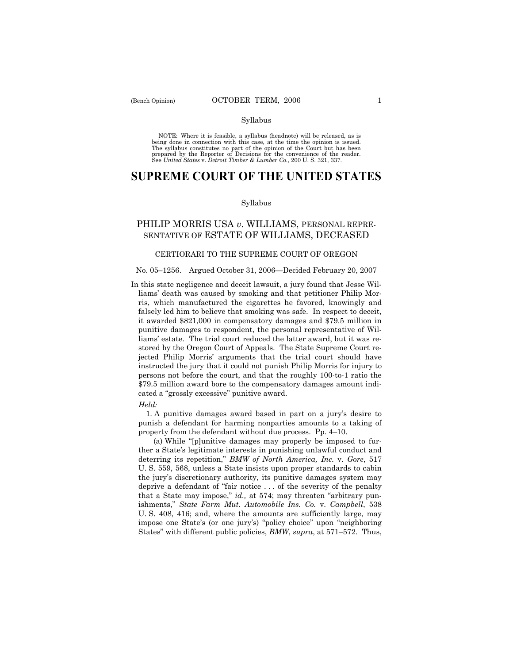## Syllabus

NOTE: Where it is feasible, a syllabus (headnote) will be released, as is being done in connection with this case, at the time the opinion is issued. The syllabus constitutes no part of the opinion of the Court but has been<br>prepared by the Reporter of Decisions for the convenience of the reader.<br>See United States v. Detroit Timber & Lumber Co., 200 U. S. 321, 337.

# **SUPREME COURT OF THE UNITED STATES**

## Syllabus

## PHILIP MORRIS USA *v*. WILLIAMS, PERSONAL REPRE-SENTATIVE OF ESTATE OF WILLIAMS, DECEASED

## CERTIORARI TO THE SUPREME COURT OF OREGON

## No. 05–1256. Argued October 31, 2006–Decided February 20, 2007

In this state negligence and deceit lawsuit, a jury found that Jesse Williamsí death was caused by smoking and that petitioner Philip Morris, which manufactured the cigarettes he favored, knowingly and falsely led him to believe that smoking was safe. In respect to deceit, it awarded \$821,000 in compensatory damages and \$79.5 million in punitive damages to respondent, the personal representative of Williams' estate. The trial court reduced the latter award, but it was restored by the Oregon Court of Appeals. The State Supreme Court rejected Philip Morris' arguments that the trial court should have instructed the jury that it could not punish Philip Morris for injury to persons not before the court, and that the roughly 100-to-1 ratio the \$79.5 million award bore to the compensatory damages amount indicated a "grossly excessive" punitive award.

#### *Held:*

 1. A punitive damages award based in part on a juryís desire to punish a defendant for harming nonparties amounts to a taking of property from the defendant without due process. Pp. 4–10.

(a) While "[p]unitive damages may properly be imposed to further a State's legitimate interests in punishing unlawful conduct and deterring its repetition,î *BMW of North America, Inc.* v. *Gore*, 517 U. S. 559, 568, unless a State insists upon proper standards to cabin the juryís discretionary authority, its punitive damages system may deprive a defendant of "fair notice  $\dots$  of the severity of the penalty that a State may impose," id., at 574; may threaten "arbitrary punishments," State Farm Mut. Automobile Ins. Co. v. Campbell, 538 U. S. 408, 416; and, where the amounts are sufficiently large, may impose one State's (or one jury's) "policy choice" upon "neighboring States" with different public policies, *BMW*, *supra*, at 571–572. Thus,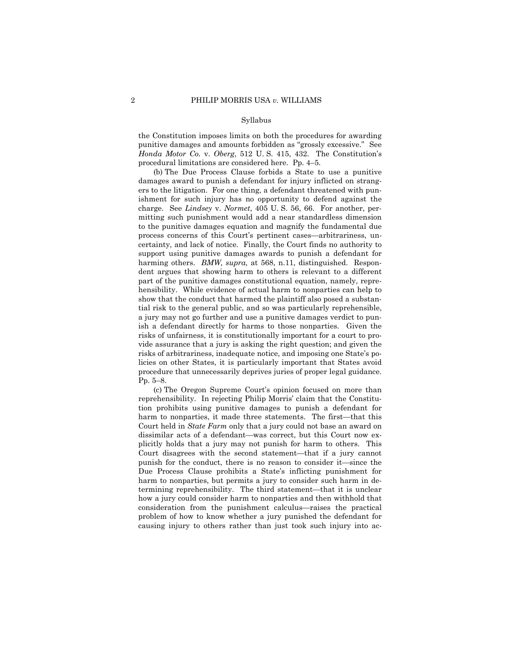#### Syllabus

the Constitution imposes limits on both the procedures for awarding punitive damages and amounts forbidden as "grossly excessive." See *Honda Motor Co. v. Oberg,* 512 U.S. 415, 432. The Constitution's procedural limitations are considered here. Pp. 4–5.

 (b) The Due Process Clause forbids a State to use a punitive damages award to punish a defendant for injury inflicted on strangers to the litigation. For one thing, a defendant threatened with punishment for such injury has no opportunity to defend against the charge. See *Lindsey* v. *Normet*, 405 U. S. 56, 66. For another, permitting such punishment would add a near standardless dimension to the punitive damages equation and magnify the fundamental due process concerns of this Court's pertinent cases—arbitrariness, uncertainty, and lack of notice. Finally, the Court finds no authority to support using punitive damages awards to punish a defendant for harming others. *BMW, supra,* at 568, n.11, distinguished. Respondent argues that showing harm to others is relevant to a different part of the punitive damages constitutional equation, namely, reprehensibility. While evidence of actual harm to nonparties can help to show that the conduct that harmed the plaintiff also posed a substantial risk to the general public, and so was particularly reprehensible, a jury may not go further and use a punitive damages verdict to punish a defendant directly for harms to those nonparties. Given the risks of unfairness, it is constitutionally important for a court to provide assurance that a jury is asking the right question; and given the risks of arbitrariness, inadequate notice, and imposing one State's policies on other States, it is particularly important that States avoid procedure that unnecessarily deprives juries of proper legal guidance.  $Pp. 5-8.$ 

 (c) The Oregon Supreme Courtís opinion focused on more than reprehensibility. In rejecting Philip Morris' claim that the Constitution prohibits using punitive damages to punish a defendant for harm to nonparties, it made three statements. The first—that this Court held in *State Farm* only that a jury could not base an award on dissimilar acts of a defendant—was correct, but this Court now explicitly holds that a jury may not punish for harm to others. This Court disagrees with the second statement—that if a jury cannot punish for the conduct, there is no reason to consider it—since the Due Process Clause prohibits a State's inflicting punishment for harm to nonparties, but permits a jury to consider such harm in determining reprehensibility. The third statement—that it is unclear how a jury could consider harm to nonparties and then withhold that consideration from the punishment calculus—raises the practical problem of how to know whether a jury punished the defendant for causing injury to others rather than just took such injury into ac-